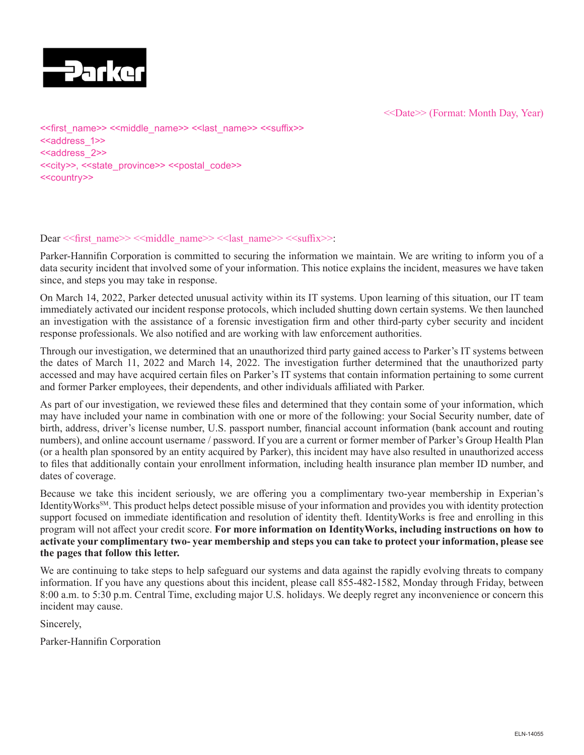

<<Date>> (Format: Month Day, Year)

<<first\_name>> <<middle\_name>> <<last\_name>> <<suffix>> <<address\_1>> <<address\_2>> <<city>>, <<state\_province>> <<postal\_code>> <<country>>

#### Dear << first\_name>> << middle\_name>> << last\_name>> << suffix>>:

Parker-Hannifin Corporation is committed to securing the information we maintain. We are writing to inform you of a data security incident that involved some of your information. This notice explains the incident, measures we have taken since, and steps you may take in response.

On March 14, 2022, Parker detected unusual activity within its IT systems. Upon learning of this situation, our IT team immediately activated our incident response protocols, which included shutting down certain systems. We then launched an investigation with the assistance of a forensic investigation firm and other third-party cyber security and incident response professionals. We also notified and are working with law enforcement authorities.

Through our investigation, we determined that an unauthorized third party gained access to Parker's IT systems between the dates of March 11, 2022 and March 14, 2022. The investigation further determined that the unauthorized party accessed and may have acquired certain files on Parker's IT systems that contain information pertaining to some current and former Parker employees, their dependents, and other individuals affiliated with Parker.

As part of our investigation, we reviewed these files and determined that they contain some of your information, which may have included your name in combination with one or more of the following: your Social Security number, date of birth, address, driver's license number, U.S. passport number, financial account information (bank account and routing numbers), and online account username / password. If you are a current or former member of Parker's Group Health Plan (or a health plan sponsored by an entity acquired by Parker), this incident may have also resulted in unauthorized access to files that additionally contain your enrollment information, including health insurance plan member ID number, and dates of coverage.

Because we take this incident seriously, we are offering you a complimentary two-year membership in Experian's IdentityWorksSM. This product helps detect possible misuse of your information and provides you with identity protection support focused on immediate identification and resolution of identity theft. IdentityWorks is free and enrolling in this program will not affect your credit score. **For more information on IdentityWorks, including instructions on how to activate your complimentary two- year membership and steps you can take to protect your information, please see the pages that follow this letter.**

We are continuing to take steps to help safeguard our systems and data against the rapidly evolving threats to company information. If you have any questions about this incident, please call 855-482-1582, Monday through Friday, between 8:00 a.m. to 5:30 p.m. Central Time, excluding major U.S. holidays. We deeply regret any inconvenience or concern this incident may cause.

Sincerely,

Parker-Hannifin Corporation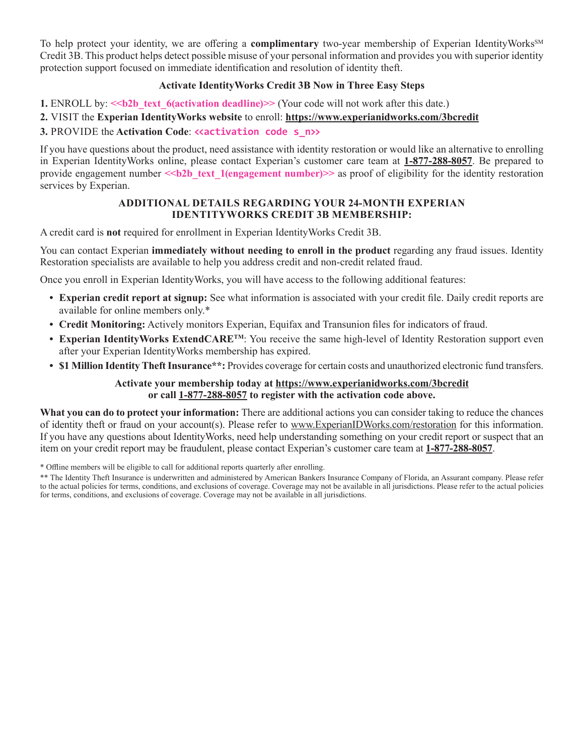To help protect your identity, we are offering a **complimentary** two-year membership of Experian IdentityWorks<sup>SM</sup> Credit 3B. This product helps detect possible misuse of your personal information and provides you with superior identity protection support focused on immediate identification and resolution of identity theft.

## **Activate IdentityWorks Credit 3B Now in Three Easy Steps**

**1.** ENROLL by:  $\le b2b$  text 6(activation deadline)>> (Your code will not work after this date.)

## **2.** VISIT the **Experian IdentityWorks website** to enroll: **https://www.experianidworks.com/3bcredit**

# **3. PROVIDE the Activation Code: «activation code s n>>**

If you have questions about the product, need assistance with identity restoration or would like an alternative to enrolling in Experian IdentityWorks online, please contact Experian's customer care team at **1-877-288-8057**. Be prepared to provide engagement number  $\le b2b$  text 1(engagement number)>> as proof of eligibility for the identity restoration services by Experian.

#### **ADDITIONAL DETAILS REGARDING YOUR 24-MONTH EXPERIAN IDENTITYWORKS CREDIT 3B MEMBERSHIP:**

A credit card is **not** required for enrollment in Experian IdentityWorks Credit 3B.

You can contact Experian **immediately without needing to enroll in the product** regarding any fraud issues. Identity Restoration specialists are available to help you address credit and non-credit related fraud.

Once you enroll in Experian IdentityWorks, you will have access to the following additional features:

- **• Experian credit report at signup:** See what information is associated with your credit file. Daily credit reports are available for online members only.\*
- **• Credit Monitoring:** Actively monitors Experian, Equifax and Transunion files for indicators of fraud.
- **Experian IdentityWorks ExtendCARE<sup>TM</sup>**: You receive the same high-level of Identity Restoration support even after your Experian IdentityWorks membership has expired.
- **• \$1 Million Identity Theft Insurance\*\*:** Provides coverage for certain costs and unauthorized electronic fund transfers.

## **Activate your membership today at https://www.experianidworks.com/3bcredit or call 1-877-288-8057 to register with the activation code above.**

**What you can do to protect your information:** There are additional actions you can consider taking to reduce the chances of identity theft or fraud on your account(s). Please refer to www.ExperianIDWorks.com/restoration for this information. If you have any questions about IdentityWorks, need help understanding something on your credit report or suspect that an item on your credit report may be fraudulent, please contact Experian's customer care team at **1-877-288-8057**.

\* Offline members will be eligible to call for additional reports quarterly after enrolling.

<sup>\*\*</sup> The Identity Theft Insurance is underwritten and administered by American Bankers Insurance Company of Florida, an Assurant company. Please refer to the actual policies for terms, conditions, and exclusions of coverage. Coverage may not be available in all jurisdictions. Please refer to the actual policies for terms, conditions, and exclusions of coverage. Coverage may not be available in all jurisdictions.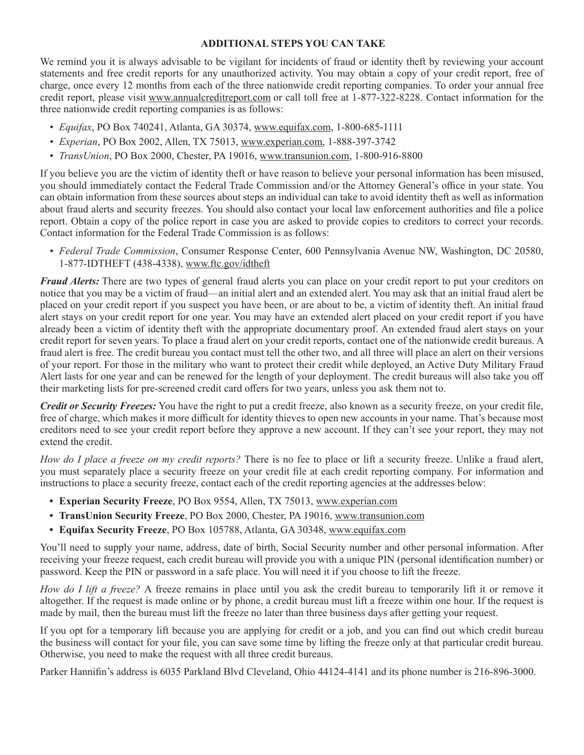#### **ADDITIONAL STEPS YOU CAN TAKE**

We remind you it is always advisable to be vigilant for incidents of fraud or identity theft by reviewing your account statements and free credit reports for any unauthorized activity. You may obtain a copy of your credit report, free of charge, once every 12 months from each of the three nationwide credit reporting companies. To order your annual free credit report, please visit www.annualcreditreport.com or call toll free at 1-877-322-8228. Contact information for the three nationwide credit reporting companies is as follows:

- *• Equifax*, PO Box 740241, Atlanta, GA 30374, www.equifax.com, 1-800-685-1111
- *• Experian*, PO Box 2002, Allen, TX 75013, www.experian.com, 1-888-397-3742
- *• TransUnion*, PO Box 2000, Chester, PA 19016, www.transunion.com, 1-800-916-8800

If you believe you are the victim of identity theft or have reason to believe your personal information has been misused, you should immediately contact the Federal Trade Commission and/or the Attorney General's office in your state. You can obtain information from these sources about steps an individual can take to avoid identity theft as well as information about fraud alerts and security freezes. You should also contact your local law enforcement authorities and file a police report. Obtain a copy of the police report in case you are asked to provide copies to creditors to correct your records. Contact information for the Federal Trade Commission is as follows:

*• Federal Trade Commission*, Consumer Response Center, 600 Pennsylvania Avenue NW, Washington, DC 20580, 1-877-IDTHEFT (438-4338), www.ftc.gov/idtheft

*Fraud Alerts:* There are two types of general fraud alerts you can place on your credit report to put your creditors on notice that you may be a victim of fraud—an initial alert and an extended alert. You may ask that an initial fraud alert be placed on your credit report if you suspect you have been, or are about to be, a victim of identity theft. An initial fraud alert stays on your credit report for one year. You may have an extended alert placed on your credit report if you have already been a victim of identity theft with the appropriate documentary proof. An extended fraud alert stays on your credit report for seven years. To place a fraud alert on your credit reports, contact one of the nationwide credit bureaus. A fraud alert is free. The credit bureau you contact must tell the other two, and all three will place an alert on their versions of your report. For those in the military who want to protect their credit while deployed, an Active Duty Military Fraud Alert lasts for one year and can be renewed for the length of your deployment. The credit bureaus will also take you off their marketing lists for pre-screened credit card offers for two years, unless you ask them not to.

*Credit or Security Freezes:* You have the right to put a credit freeze, also known as a security freeze, on your credit file, free of charge, which makes it more difficult for identity thieves to open new accounts in your name. That's because most creditors need to see your credit report before they approve a new account. If they can't see your report, they may not extend the credit.

*How do I place a freeze on my credit reports?* There is no fee to place or lift a security freeze. Unlike a fraud alert, you must separately place a security freeze on your credit file at each credit reporting company. For information and instructions to place a security freeze, contact each of the credit reporting agencies at the addresses below:

- **• Experian Security Freeze**, PO Box 9554, Allen, TX 75013, www.experian.com
- **• TransUnion Security Freeze**, PO Box 2000, Chester, PA 19016, www.transunion.com
- **• Equifax Security Freeze**, PO Box 105788, Atlanta, GA 30348, www.equifax.com

You'll need to supply your name, address, date of birth, Social Security number and other personal information. After receiving your freeze request, each credit bureau will provide you with a unique PIN (personal identification number) or password. Keep the PIN or password in a safe place. You will need it if you choose to lift the freeze.

*How do I lift a freeze?* A freeze remains in place until you ask the credit bureau to temporarily lift it or remove it altogether. If the request is made online or by phone, a credit bureau must lift a freeze within one hour. If the request is made by mail, then the bureau must lift the freeze no later than three business days after getting your request.

If you opt for a temporary lift because you are applying for credit or a job, and you can find out which credit bureau the business will contact for your file, you can save some time by lifting the freeze only at that particular credit bureau. Otherwise, you need to make the request with all three credit bureaus.

Parker Hannifin's address is 6035 Parkland Blvd Cleveland, Ohio 44124-4141 and its phone number is 216-896-3000.